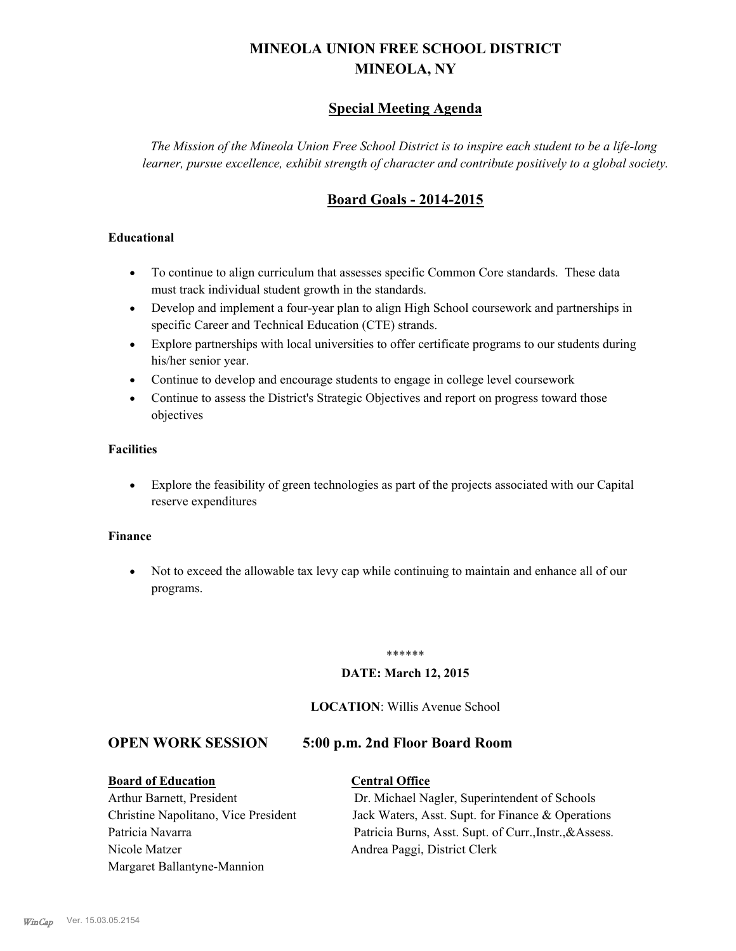# **MINEOLA UNION FREE SCHOOL DISTRICT MINEOLA, NY**

# **Special Meeting Agenda**

*The Mission of the Mineola Union Free School District is to inspire each student to be a life-long learner, pursue excellence, exhibit strength of character and contribute positively to a global society.*

# **Board Goals - 2014-2015**

## **Educational**

- · To continue to align curriculum that assesses specific Common Core standards. These data must track individual student growth in the standards.
- · Develop and implement a four-year plan to align High School coursework and partnerships in specific Career and Technical Education (CTE) strands.
- · Explore partnerships with local universities to offer certificate programs to our students during his/her senior year.
- · Continue to develop and encourage students to engage in college level coursework
- Continue to assess the District's Strategic Objectives and report on progress toward those objectives

## **Facilities**

· Explore the feasibility of green technologies as part of the projects associated with our Capital reserve expenditures

### **Finance**

· Not to exceed the allowable tax levy cap while continuing to maintain and enhance all of our programs.

#### \*\*\*\*\*\*

## **DATE: March 12, 2015**

### **LOCATION**: Willis Avenue School

# **OPEN WORK SESSION 5:00 p.m. 2nd Floor Board Room**

# **Board of Education Central Office**

Nicole Matzer Andrea Paggi, District Clerk Margaret Ballantyne-Mannion

# Arthur Barnett, President Dr. Michael Nagler, Superintendent of Schools Christine Napolitano, Vice President Jack Waters, Asst. Supt. for Finance & Operations Patricia Navarra Patricia Burns, Asst. Supt. of Curr., Instr., & Assess.